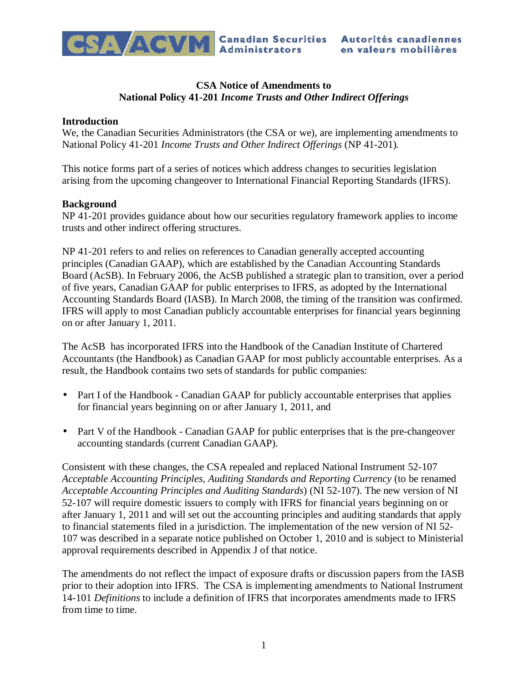

# **CSA Notice of Amendments to National Policy 41-201** *Income Trusts and Other Indirect Offerings*

## **Introduction**

We, the Canadian Securities Administrators (the CSA or we), are implementing amendments to National Policy 41-201 *Income Trusts and Other Indirect Offerings* (NP 41-201)*.*

This notice forms part of a series of notices which address changes to securities legislation arising from the upcoming changeover to International Financial Reporting Standards (IFRS).

## **Background**

NP 41-201 provides guidance about how our securities regulatory framework applies to income trusts and other indirect offering structures.

NP 41-201 refers to and relies on references to Canadian generally accepted accounting principles (Canadian GAAP), which are established by the Canadian Accounting Standards Board (AcSB). In February 2006, the AcSB published a strategic plan to transition, over a period of five years, Canadian GAAP for public enterprises to IFRS, as adopted by the International Accounting Standards Board (IASB). In March 2008, the timing of the transition was confirmed. IFRS will apply to most Canadian publicly accountable enterprises for financial years beginning on or after January 1, 2011.

The AcSB has incorporated IFRS into the Handbook of the Canadian Institute of Chartered Accountants (the Handbook) as Canadian GAAP for most publicly accountable enterprises. As a result, the Handbook contains two sets of standards for public companies:

- Part I of the Handbook Canadian GAAP for publicly accountable enterprises that applies for financial years beginning on or after January 1, 2011, and
- Part V of the Handbook Canadian GAAP for public enterprises that is the pre-changeover accounting standards (current Canadian GAAP).

Consistent with these changes, the CSA repealed and replaced National Instrument 52-107 *Acceptable Accounting Principles, Auditing Standards and Reporting Currency* (to be renamed *Acceptable Accounting Principles and Auditing Standards*) (NI 52-107). The new version of NI 52-107 will require domestic issuers to comply with IFRS for financial years beginning on or after January 1, 2011 and will set out the accounting principles and auditing standards that apply to financial statements filed in a jurisdiction. The implementation of the new version of NI 52- 107 was described in a separate notice published on October 1, 2010 and is subject to Ministerial approval requirements described in Appendix J of that notice.

The amendments do not reflect the impact of exposure drafts or discussion papers from the IASB prior to their adoption into IFRS. The CSA is implementing amendments to National Instrument 14-101 *Definitions* to include a definition of IFRS that incorporates amendments made to IFRS from time to time.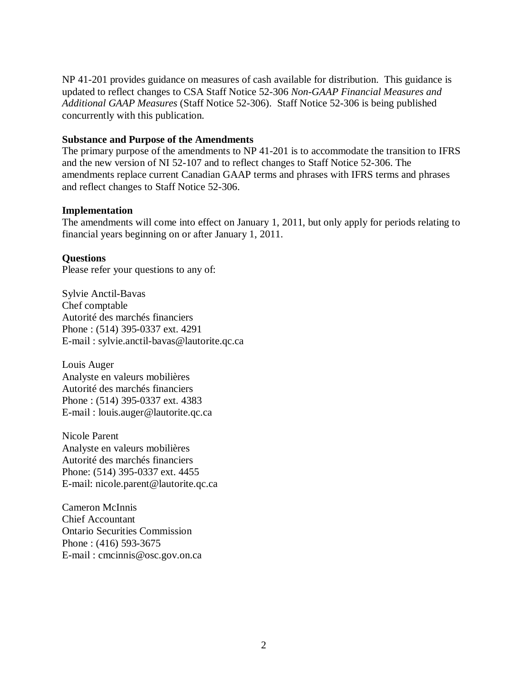NP 41-201 provides guidance on measures of cash available for distribution. This guidance is updated to reflect changes to CSA Staff Notice 52-306 *Non-GAAP Financial Measures and Additional GAAP Measures* (Staff Notice 52-306). Staff Notice 52-306 is being published concurrently with this publication.

## **Substance and Purpose of the Amendments**

The primary purpose of the amendments to NP 41-201 is to accommodate the transition to IFRS and the new version of NI 52-107 and to reflect changes to Staff Notice 52-306. The amendments replace current Canadian GAAP terms and phrases with IFRS terms and phrases and reflect changes to Staff Notice 52-306.

### **Implementation**

The amendments will come into effect on January 1, 2011, but only apply for periods relating to financial years beginning on or after January 1, 2011.

## **Questions**

Please refer your questions to any of:

Sylvie Anctil-Bavas Chef comptable Autorité des marchés financiers Phone : (514) 395-0337 ext. 4291 E-mail : sylvie.anctil-bavas@lautorite.qc.ca

Louis Auger Analyste en valeurs mobilières Autorité des marchés financiers Phone : (514) 395-0337 ext. 4383 E-mail : louis.auger@lautorite.qc.ca

Nicole Parent Analyste en valeurs mobilières Autorité des marchés financiers Phone: (514) 395-0337 ext. 4455 E-mail: nicole.parent@lautorite.qc.ca

Cameron McInnis Chief Accountant Ontario Securities Commission Phone : (416) 593-3675 E-mail : cmcinnis@osc.gov.on.ca